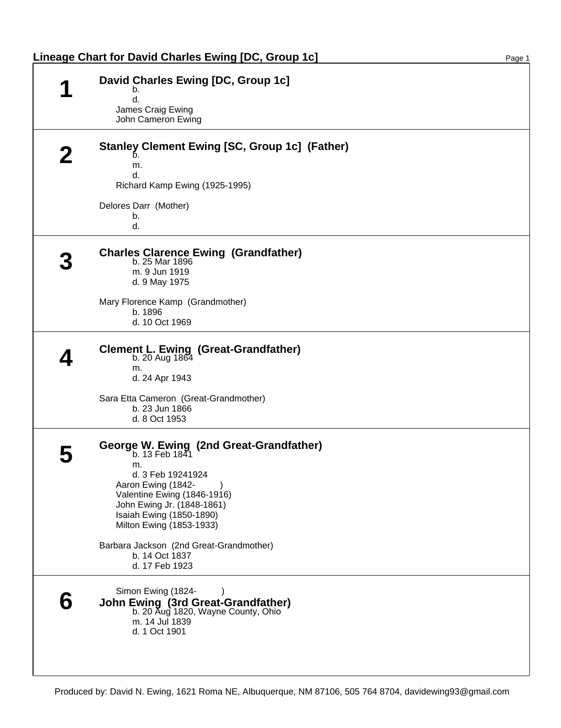| Lineage Chart for David Charles Ewing [DC, Group 1c]                                                                                                                                                                                                                                                           | Page 1 |
|----------------------------------------------------------------------------------------------------------------------------------------------------------------------------------------------------------------------------------------------------------------------------------------------------------------|--------|
| David Charles Ewing [DC, Group 1c]<br>◀<br>b.<br>d.<br>James Craig Ewing<br>John Cameron Ewing                                                                                                                                                                                                                 |        |
| Stanley Clement Ewing [SC, Group 1c] (Father)<br>b.<br>m.<br>d.<br>Richard Kamp Ewing (1925-1995)<br>Delores Darr (Mother)                                                                                                                                                                                     |        |
| b.<br>d.                                                                                                                                                                                                                                                                                                       |        |
| <b>Charles Clarence Ewing (Grandfather)</b><br>b. 25 Mar 1896<br>m. 9 Jun 1919<br>d. 9 May 1975<br>Mary Florence Kamp (Grandmother)<br>b. 1896<br>d. 10 Oct 1969                                                                                                                                               |        |
| Clement L. Ewing (Great-Grandfather)<br>b. 20 Aug $1864$<br>m.<br>d. 24 Apr 1943<br>Sara Etta Cameron (Great-Grandmother)<br>b. 23 Jun 1866<br>d. 8 Oct 1953                                                                                                                                                   |        |
| George W. Ewing (2nd Great-Grandfather)<br>b. 13 Feb 1841<br>m.<br>d. 3 Feb 19241924<br>Aaron Ewing (1842-<br>Valentine Ewing (1846-1916)<br>John Ewing Jr. (1848-1861)<br>Isaiah Ewing (1850-1890)<br>Milton Ewing (1853-1933)<br>Barbara Jackson (2nd Great-Grandmother)<br>b. 14 Oct 1837<br>d. 17 Feb 1923 |        |
| Simon Ewing (1824-<br><b>John Ewing (3rd Great-Grandfather)</b><br>b. 20 Aug 1820, Wayne County, Ohio<br>m. 14 Jul 1839<br>d. 1 Oct 1901                                                                                                                                                                       |        |